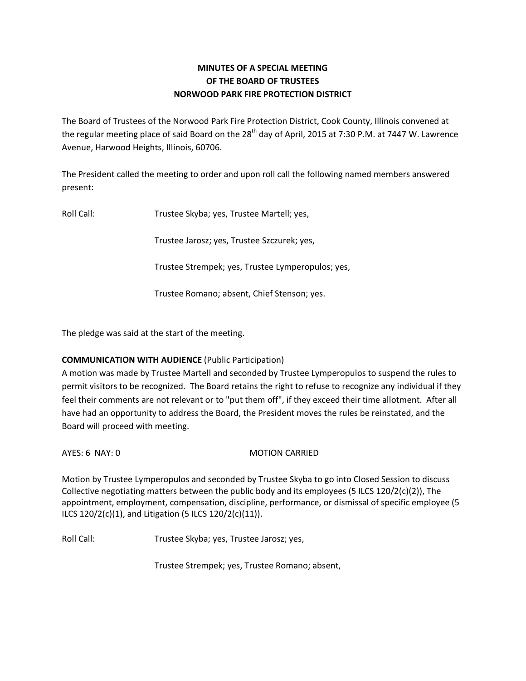## **MINUTES OF A SPECIAL MEETING OF THE BOARD OF TRUSTEES NORWOOD PARK FIRE PROTECTION DISTRICT**

The Board of Trustees of the Norwood Park Fire Protection District, Cook County, Illinois convened at the regular meeting place of said Board on the  $28<sup>th</sup>$  day of April, 2015 at 7:30 P.M. at 7447 W. Lawrence Avenue, Harwood Heights, Illinois, 60706.

The President called the meeting to order and upon roll call the following named members answered present:

Roll Call: Trustee Skyba; yes, Trustee Martell; yes,

Trustee Jarosz; yes, Trustee Szczurek; yes,

Trustee Strempek; yes, Trustee Lymperopulos; yes,

Trustee Romano; absent, Chief Stenson; yes.

The pledge was said at the start of the meeting.

## **COMMUNICATION WITH AUDIENCE** (Public Participation)

A motion was made by Trustee Martell and seconded by Trustee Lymperopulos to suspend the rules to permit visitors to be recognized. The Board retains the right to refuse to recognize any individual if they feel their comments are not relevant or to "put them off", if they exceed their time allotment. After all have had an opportunity to address the Board, the President moves the rules be reinstated, and the Board will proceed with meeting.

AYES: 6 NAY: 0 MOTION CARRIED

Motion by Trustee Lymperopulos and seconded by Trustee Skyba to go into Closed Session to discuss Collective negotiating matters between the public body and its employees (5 ILCS 120/2(c)(2)), The appointment, employment, compensation, discipline, performance, or dismissal of specific employee (5 ILCS 120/2(c)(1), and Litigation (5 ILCS 120/2(c)(11)).

Roll Call: Trustee Skyba; yes, Trustee Jarosz; yes,

Trustee Strempek; yes, Trustee Romano; absent,